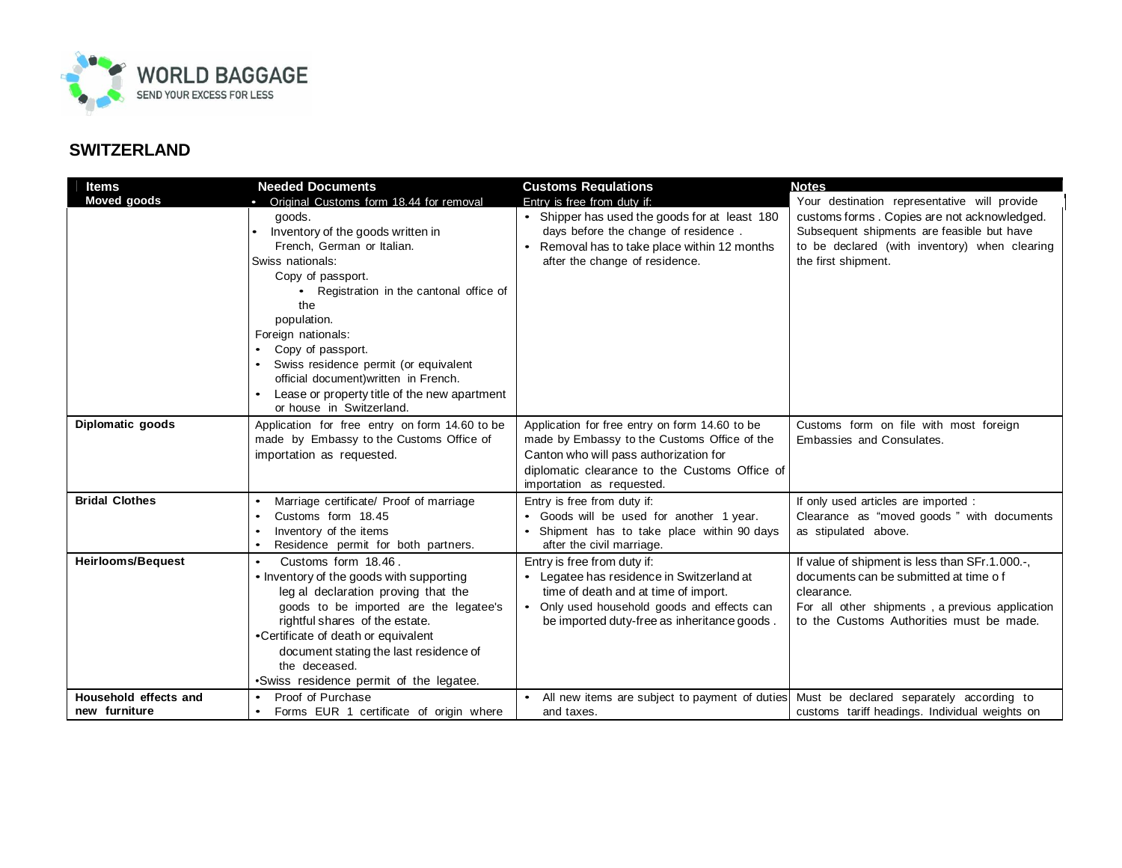

## **SWITZERLAND**

| <b>Items</b>                           | <b>Needed Documents</b>                                                                                                                                                                                                                                                                                                                                                                                                                    | <b>Customs Requiations</b>                                                                                                                                                                                             | <b>Notes</b>                                                                                                                                                                                                      |
|----------------------------------------|--------------------------------------------------------------------------------------------------------------------------------------------------------------------------------------------------------------------------------------------------------------------------------------------------------------------------------------------------------------------------------------------------------------------------------------------|------------------------------------------------------------------------------------------------------------------------------------------------------------------------------------------------------------------------|-------------------------------------------------------------------------------------------------------------------------------------------------------------------------------------------------------------------|
| <b>Moved goods</b>                     | • Original Customs form 18.44 for removal<br>goods.<br>Inventory of the goods written in<br>French, German or Italian.<br>Swiss nationals:<br>Copy of passport.<br>• Registration in the cantonal office of<br>the<br>population.<br>Foreign nationals:<br>Copy of passport.<br>Swiss residence permit (or equivalent<br>official document) written in French.<br>Lease or property title of the new apartment<br>or house in Switzerland. | Entry is free from duty if:<br>• Shipper has used the goods for at least 180<br>days before the change of residence.<br>Removal has to take place within 12 months<br>after the change of residence.                   | Your destination representative will provide<br>customs forms. Copies are not acknowledged.<br>Subsequent shipments are feasible but have<br>to be declared (with inventory) when clearing<br>the first shipment. |
| Diplomatic goods                       | Application for free entry on form 14.60 to be<br>made by Embassy to the Customs Office of<br>importation as requested.                                                                                                                                                                                                                                                                                                                    | Application for free entry on form 14.60 to be<br>made by Embassy to the Customs Office of the<br>Canton who will pass authorization for<br>diplomatic clearance to the Customs Office of<br>importation as requested. | Customs form on file with most foreign<br>Embassies and Consulates.                                                                                                                                               |
| <b>Bridal Clothes</b>                  | Marriage certificate/ Proof of marriage<br>$\bullet$<br>Customs form 18.45<br>Inventory of the items<br>Residence permit for both partners.                                                                                                                                                                                                                                                                                                | Entry is free from duty if:<br>• Goods will be used for another 1 year.<br>Shipment has to take place within 90 days<br>after the civil marriage.                                                                      | If only used articles are imported :<br>Clearance as "moved goods" with documents<br>as stipulated above.                                                                                                         |
| <b>Heirlooms/Bequest</b>               | Customs form 18.46.<br>• Inventory of the goods with supporting<br>leg al declaration proving that the<br>goods to be imported are the legatee's<br>rightful shares of the estate.<br>•Certificate of death or equivalent<br>document stating the last residence of<br>the deceased.<br>.Swiss residence permit of the legatee.                                                                                                            | Entry is free from duty if:<br>• Legatee has residence in Switzerland at<br>time of death and at time of import.<br>Only used household goods and effects can<br>be imported duty-free as inheritance goods.           | If value of shipment is less than SFr.1.000.-,<br>documents can be submitted at time of<br>clearance.<br>For all other shipments, a previous application<br>to the Customs Authorities must be made.              |
| Household effects and<br>new furniture | Proof of Purchase<br>Forms EUR 1 certificate of origin where<br>$\bullet$                                                                                                                                                                                                                                                                                                                                                                  | All new items are subject to payment of duties<br>and taxes.                                                                                                                                                           | Must be declared separately according to<br>customs tariff headings. Individual weights on                                                                                                                        |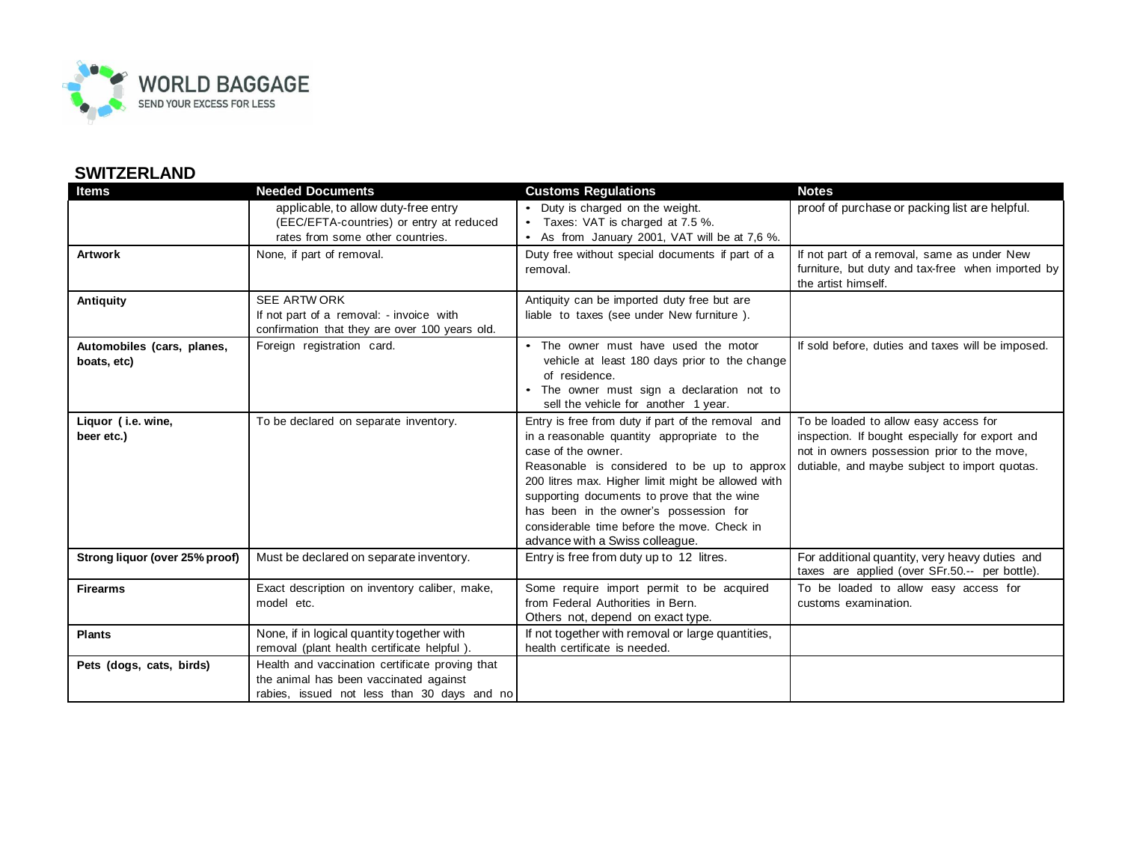

## **SWITZERLAND**

| <b>Items</b>                              | <b>Needed Documents</b>                                                                                                                  | <b>Customs Regulations</b>                                                                                                                                                                                                                                                                                                                                                                              | <b>Notes</b>                                                                                                                                                                             |
|-------------------------------------------|------------------------------------------------------------------------------------------------------------------------------------------|---------------------------------------------------------------------------------------------------------------------------------------------------------------------------------------------------------------------------------------------------------------------------------------------------------------------------------------------------------------------------------------------------------|------------------------------------------------------------------------------------------------------------------------------------------------------------------------------------------|
|                                           | applicable, to allow duty-free entry                                                                                                     | • Duty is charged on the weight.                                                                                                                                                                                                                                                                                                                                                                        | proof of purchase or packing list are helpful.                                                                                                                                           |
|                                           | (EEC/EFTA-countries) or entry at reduced                                                                                                 | Taxes: VAT is charged at 7.5 %.                                                                                                                                                                                                                                                                                                                                                                         |                                                                                                                                                                                          |
|                                           | rates from some other countries.                                                                                                         | • As from January 2001, VAT will be at 7,6 %.                                                                                                                                                                                                                                                                                                                                                           |                                                                                                                                                                                          |
| <b>Artwork</b>                            | None, if part of removal.                                                                                                                | Duty free without special documents if part of a<br>removal.                                                                                                                                                                                                                                                                                                                                            | If not part of a removal, same as under New<br>furniture, but duty and tax-free when imported by<br>the artist himself.                                                                  |
| <b>Antiquity</b>                          | SEE ARTWORK                                                                                                                              | Antiquity can be imported duty free but are                                                                                                                                                                                                                                                                                                                                                             |                                                                                                                                                                                          |
|                                           | If not part of a removal: - invoice with<br>confirmation that they are over 100 years old.                                               | liable to taxes (see under New furniture).                                                                                                                                                                                                                                                                                                                                                              |                                                                                                                                                                                          |
| Automobiles (cars, planes,<br>boats, etc) | Foreign registration card.                                                                                                               | • The owner must have used the motor<br>vehicle at least 180 days prior to the change<br>of residence.<br>The owner must sign a declaration not to<br>sell the vehicle for another 1 year.                                                                                                                                                                                                              | If sold before, duties and taxes will be imposed.                                                                                                                                        |
| Liquor (i.e. wine,<br>beer etc.)          | To be declared on separate inventory.                                                                                                    | Entry is free from duty if part of the removal and<br>in a reasonable quantity appropriate to the<br>case of the owner.<br>Reasonable is considered to be up to approx<br>200 litres max. Higher limit might be allowed with<br>supporting documents to prove that the wine<br>has been in the owner's possession for<br>considerable time before the move. Check in<br>advance with a Swiss colleague. | To be loaded to allow easy access for<br>inspection. If bought especially for export and<br>not in owners possession prior to the move,<br>dutiable, and maybe subject to import quotas. |
| Strong liquor (over 25% proof)            | Must be declared on separate inventory.                                                                                                  | Entry is free from duty up to 12 litres.                                                                                                                                                                                                                                                                                                                                                                | For additional quantity, very heavy duties and<br>taxes are applied (over SFr.50.-- per bottle).                                                                                         |
| <b>Firearms</b>                           | Exact description on inventory caliber, make,<br>model etc.                                                                              | Some require import permit to be acquired<br>from Federal Authorities in Bern.<br>Others not, depend on exact type.                                                                                                                                                                                                                                                                                     | To be loaded to allow easy access for<br>customs examination.                                                                                                                            |
| <b>Plants</b>                             | None, if in logical quantity together with<br>removal (plant health certificate helpful).                                                | If not together with removal or large quantities,<br>health certificate is needed.                                                                                                                                                                                                                                                                                                                      |                                                                                                                                                                                          |
| Pets (dogs, cats, birds)                  | Health and vaccination certificate proving that<br>the animal has been vaccinated against<br>rabies, issued not less than 30 days and no |                                                                                                                                                                                                                                                                                                                                                                                                         |                                                                                                                                                                                          |